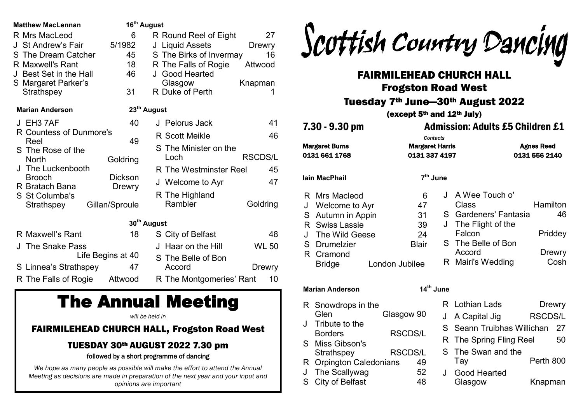| 6                       |                                                         | 27                                                                                                                                                                                                                                                                                                                                   |
|-------------------------|---------------------------------------------------------|--------------------------------------------------------------------------------------------------------------------------------------------------------------------------------------------------------------------------------------------------------------------------------------------------------------------------------------|
| 5/1982                  |                                                         | Drewry                                                                                                                                                                                                                                                                                                                               |
| 45                      |                                                         | 16                                                                                                                                                                                                                                                                                                                                   |
|                         | R The Falls of Rogie                                    | Attwood                                                                                                                                                                                                                                                                                                                              |
| 46                      | J Good Hearted                                          |                                                                                                                                                                                                                                                                                                                                      |
|                         | Glasgow                                                 | Knapman                                                                                                                                                                                                                                                                                                                              |
|                         |                                                         | 1                                                                                                                                                                                                                                                                                                                                    |
|                         |                                                         |                                                                                                                                                                                                                                                                                                                                      |
| 40                      | J Pelorus Jack                                          | 41                                                                                                                                                                                                                                                                                                                                   |
| R Countess of Dunmore's |                                                         | 46                                                                                                                                                                                                                                                                                                                                   |
| 49                      |                                                         |                                                                                                                                                                                                                                                                                                                                      |
|                         |                                                         | <b>RSCDS/L</b>                                                                                                                                                                                                                                                                                                                       |
|                         |                                                         |                                                                                                                                                                                                                                                                                                                                      |
|                         |                                                         | 45                                                                                                                                                                                                                                                                                                                                   |
|                         | J Welcome to Ayr                                        | 47                                                                                                                                                                                                                                                                                                                                   |
|                         |                                                         |                                                                                                                                                                                                                                                                                                                                      |
| Gillan/Sproule          | Rambler                                                 | Goldring                                                                                                                                                                                                                                                                                                                             |
|                         |                                                         |                                                                                                                                                                                                                                                                                                                                      |
|                         |                                                         |                                                                                                                                                                                                                                                                                                                                      |
|                         |                                                         | 48                                                                                                                                                                                                                                                                                                                                   |
|                         | J Haar on the Hill                                      | <b>WL 50</b>                                                                                                                                                                                                                                                                                                                         |
| Life Begins at 40       | S The Belle of Bon                                      |                                                                                                                                                                                                                                                                                                                                      |
| 47                      | Accord                                                  | <b>Drewry</b>                                                                                                                                                                                                                                                                                                                        |
| Attwood                 |                                                         | 10                                                                                                                                                                                                                                                                                                                                   |
|                         | 31<br>Goldring<br><b>Dickson</b><br><b>Drewry</b><br>18 | 16 <sup>th</sup> August<br>R Round Reel of Eight<br>J Liquid Assets<br>S The Birks of Invermay<br>18<br>R Duke of Perth<br>23 <sup>th</sup> August<br><b>R</b> Scott Meikle<br>S The Minister on the<br>Loch<br>R The Westminster Reel<br>R The Highland<br>30 <sup>th</sup> August<br>S City of Belfast<br>R The Montgomeries' Rant |

# The Annual Meeting

*will be held in*

### FAIRMILEHEAD CHURCH HALL, Frogston Road West

## TUESDAY 30th AUGUST 2022 7.30 pm

### followed by a short programme of dancing

*We hope as many people as possible will make the effort to attend the Annual Meeting as decisions are made in preparation of the next year and your input and opinions are important*



# FAIRMILEHEAD CHURCH HALL Frogston Road West

# Tuesday 7th June—30th August 2022

(except 5th and 12th July)

7.30 - 9.30 pm Admission: Adults £5 Children £1 *Contacts* Margaret Burns Margaret Harris Agnes Reed 0131 661 1768 0131 337 4197 0131 556 2140 J A Wee Touch o' R Mrs Macleod 6 **th June**

### Class Hamilton S Gardeners' Fantasia 46 J The Flight of the Falcon Priddey S The Belle of Bon Accord Drewry R Mairi's Wedding Cosh J Welcome to Ayr 47 S Autumn in Appin 31 R Swiss Lassie 39 The Wild Geese 24 S Drumelzier Blair R Cramond Bridge London Jubilee

### **Marian Anderson 14th June**

**Iain MacPhail 7**

- R Snowdrops in the Glen Glasgow 90 J Tribute to the Borders RSCDS/L S Miss Gibson's
- Strathspey RSCDS/L
- R Orpington Caledonians 49
- J The Scallywag 52
- S City of Belfast 48

R Lothian Lads Drewry J A Capital Jig RSCDS/L S Seann Truibhas Willichan 27 R The Spring Fling Reel 50 S The Swan and the Tay **Perth 800** J Good Hearted Glasgow Knapman